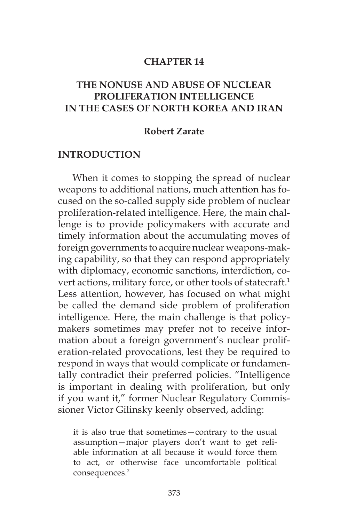### **CHAPTER 14**

## **THE NONUSE AND ABUSE OF NUCLEAR PROLIFERATION INTELLIGENCE IN THE CASES OF NORTH KOREA AND IRAN**

#### **Robert Zarate**

#### **INTRODUCTION**

When it comes to stopping the spread of nuclear weapons to additional nations, much attention has focused on the so-called supply side problem of nuclear proliferation-related intelligence. Here, the main challenge is to provide policymakers with accurate and timely information about the accumulating moves of foreign governments to acquire nuclear weapons-making capability, so that they can respond appropriately with diplomacy, economic sanctions, interdiction, covert actions, military force, or other tools of statecraft.<sup>1</sup> Less attention, however, has focused on what might be called the demand side problem of proliferation intelligence. Here, the main challenge is that policymakers sometimes may prefer not to receive information about a foreign government's nuclear proliferation-related provocations, lest they be required to respond in ways that would complicate or fundamentally contradict their preferred policies. "Intelligence is important in dealing with proliferation, but only if you want it," former Nuclear Regulatory Commissioner Victor Gilinsky keenly observed, adding:

it is also true that sometimes—contrary to the usual assumption—major players don't want to get reliable information at all because it would force them to act, or otherwise face uncomfortable political consequences.<sup>2</sup>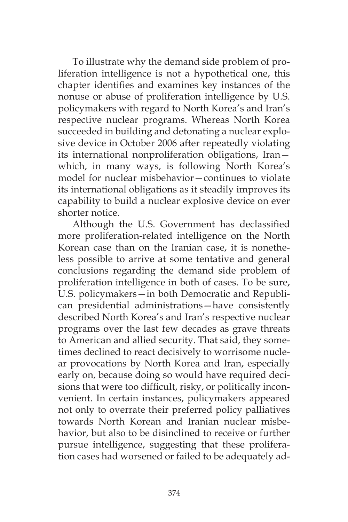To illustrate why the demand side problem of proliferation intelligence is not a hypothetical one, this chapter identifies and examines key instances of the nonuse or abuse of proliferation intelligence by U.S. policymakers with regard to North Korea's and Iran's respective nuclear programs. Whereas North Korea succeeded in building and detonating a nuclear explosive device in October 2006 after repeatedly violating its international nonproliferation obligations, Iran which, in many ways, is following North Korea's model for nuclear misbehavior—continues to violate its international obligations as it steadily improves its capability to build a nuclear explosive device on ever shorter notice.

Although the U.S. Government has declassified more proliferation-related intelligence on the North Korean case than on the Iranian case, it is nonetheless possible to arrive at some tentative and general conclusions regarding the demand side problem of proliferation intelligence in both of cases. To be sure, U.S. policymakers—in both Democratic and Republican presidential administrations—have consistently described North Korea's and Iran's respective nuclear programs over the last few decades as grave threats to American and allied security. That said, they sometimes declined to react decisively to worrisome nuclear provocations by North Korea and Iran, especially early on, because doing so would have required decisions that were too difficult, risky, or politically inconvenient. In certain instances, policymakers appeared not only to overrate their preferred policy palliatives towards North Korean and Iranian nuclear misbehavior, but also to be disinclined to receive or further pursue intelligence, suggesting that these proliferation cases had worsened or failed to be adequately ad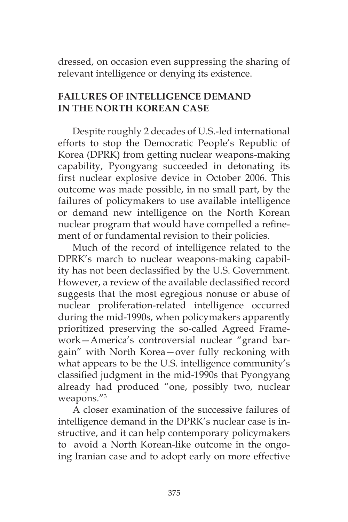dressed, on occasion even suppressing the sharing of relevant intelligence or denying its existence.

## **FAILURES OF INTELLIGENCE DEMAND IN THE NORTH KOREAN CASE**

Despite roughly 2 decades of U.S.-led international efforts to stop the Democratic People's Republic of Korea (DPRK) from getting nuclear weapons-making capability, Pyongyang succeeded in detonating its first nuclear explosive device in October 2006. This outcome was made possible, in no small part, by the failures of policymakers to use available intelligence or demand new intelligence on the North Korean nuclear program that would have compelled a refinement of or fundamental revision to their policies.

Much of the record of intelligence related to the DPRK's march to nuclear weapons-making capability has not been declassified by the U.S. Government. However, a review of the available declassified record suggests that the most egregious nonuse or abuse of nuclear proliferation-related intelligence occurred during the mid-1990s, when policymakers apparently prioritized preserving the so-called Agreed Framework—America's controversial nuclear "grand bargain" with North Korea—over fully reckoning with what appears to be the U.S. intelligence community's classified judgment in the mid-1990s that Pyongyang already had produced "one, possibly two, nuclear weapons."3

A closer examination of the successive failures of intelligence demand in the DPRK's nuclear case is instructive, and it can help contemporary policymakers to avoid a North Korean-like outcome in the ongoing Iranian case and to adopt early on more effective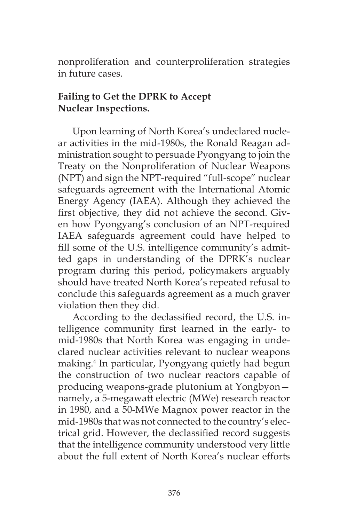nonproliferation and counterproliferation strategies in future cases.

# **Failing to Get the DPRK to Accept Nuclear Inspections.**

Upon learning of North Korea's undeclared nuclear activities in the mid-1980s, the Ronald Reagan administration sought to persuade Pyongyang to join the Treaty on the Nonproliferation of Nuclear Weapons (NPT) and sign the NPT-required "full-scope" nuclear safeguards agreement with the International Atomic Energy Agency (IAEA). Although they achieved the first objective, they did not achieve the second. Given how Pyongyang's conclusion of an NPT-required IAEA safeguards agreement could have helped to fill some of the U.S. intelligence community's admitted gaps in understanding of the DPRK's nuclear program during this period, policymakers arguably should have treated North Korea's repeated refusal to conclude this safeguards agreement as a much graver violation then they did.

According to the declassified record, the U.S. intelligence community first learned in the early- to mid-1980s that North Korea was engaging in undeclared nuclear activities relevant to nuclear weapons making.4 In particular, Pyongyang quietly had begun the construction of two nuclear reactors capable of producing weapons-grade plutonium at Yongbyon namely, a 5-megawatt electric (MWe) research reactor in 1980, and a 50-MWe Magnox power reactor in the mid-1980s that was not connected to the country's electrical grid. However, the declassified record suggests that the intelligence community understood very little about the full extent of North Korea's nuclear efforts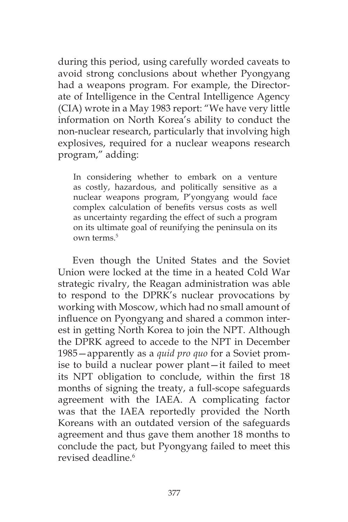during this period, using carefully worded caveats to avoid strong conclusions about whether Pyongyang had a weapons program. For example, the Directorate of Intelligence in the Central Intelligence Agency (CIA) wrote in a May 1983 report: "We have very little information on North Korea's ability to conduct the non-nuclear research, particularly that involving high explosives, required for a nuclear weapons research program," adding:

In considering whether to embark on a venture as costly, hazardous, and politically sensitive as a nuclear weapons program, P'yongyang would face complex calculation of benefits versus costs as well as uncertainty regarding the effect of such a program on its ultimate goal of reunifying the peninsula on its own terms.<sup>5</sup>

Even though the United States and the Soviet Union were locked at the time in a heated Cold War strategic rivalry, the Reagan administration was able to respond to the DPRK's nuclear provocations by working with Moscow, which had no small amount of influence on Pyongyang and shared a common interest in getting North Korea to join the NPT. Although the DPRK agreed to accede to the NPT in December 1985—apparently as a *quid pro quo* for a Soviet promise to build a nuclear power plant—it failed to meet its NPT obligation to conclude, within the first 18 months of signing the treaty, a full-scope safeguards agreement with the IAEA. A complicating factor was that the IAEA reportedly provided the North Koreans with an outdated version of the safeguards agreement and thus gave them another 18 months to conclude the pact, but Pyongyang failed to meet this revised deadline.<sup>6</sup>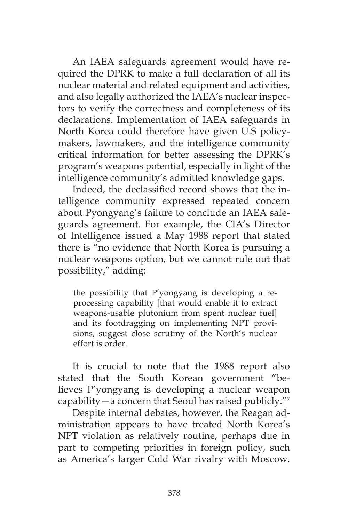An IAEA safeguards agreement would have required the DPRK to make a full declaration of all its nuclear material and related equipment and activities, and also legally authorized the IAEA's nuclear inspectors to verify the correctness and completeness of its declarations. Implementation of IAEA safeguards in North Korea could therefore have given U.S policymakers, lawmakers, and the intelligence community critical information for better assessing the DPRK's program's weapons potential, especially in light of the intelligence community's admitted knowledge gaps.

Indeed, the declassified record shows that the intelligence community expressed repeated concern about Pyongyang's failure to conclude an IAEA safeguards agreement. For example, the CIA's Director of Intelligence issued a May 1988 report that stated there is "no evidence that North Korea is pursuing a nuclear weapons option, but we cannot rule out that possibility," adding:

the possibility that P'yongyang is developing a reprocessing capability [that would enable it to extract weapons-usable plutonium from spent nuclear fuel] and its footdragging on implementing NPT provisions, suggest close scrutiny of the North's nuclear effort is order.

It is crucial to note that the 1988 report also stated that the South Korean government "believes P'yongyang is developing a nuclear weapon capability—a concern that Seoul has raised publicly."7

Despite internal debates, however, the Reagan administration appears to have treated North Korea's NPT violation as relatively routine, perhaps due in part to competing priorities in foreign policy, such as America's larger Cold War rivalry with Moscow.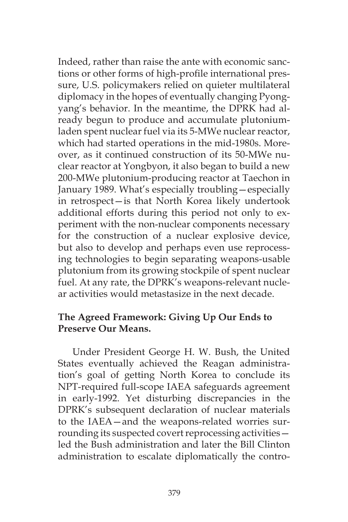Indeed, rather than raise the ante with economic sanctions or other forms of high-profile international pressure, U.S. policymakers relied on quieter multilateral diplomacy in the hopes of eventually changing Pyongyang's behavior. In the meantime, the DPRK had already begun to produce and accumulate plutoniumladen spent nuclear fuel via its 5-MWe nuclear reactor, which had started operations in the mid-1980s. Moreover, as it continued construction of its 50-MWe nuclear reactor at Yongbyon, it also began to build a new 200-MWe plutonium-producing reactor at Taechon in January 1989. What's especially troubling—especially in retrospect—is that North Korea likely undertook additional efforts during this period not only to experiment with the non-nuclear components necessary for the construction of a nuclear explosive device, but also to develop and perhaps even use reprocessing technologies to begin separating weapons-usable plutonium from its growing stockpile of spent nuclear fuel. At any rate, the DPRK's weapons-relevant nuclear activities would metastasize in the next decade.

## **The Agreed Framework: Giving Up Our Ends to Preserve Our Means.**

Under President George H. W. Bush, the United States eventually achieved the Reagan administration's goal of getting North Korea to conclude its NPT-required full-scope IAEA safeguards agreement in early-1992. Yet disturbing discrepancies in the DPRK's subsequent declaration of nuclear materials to the IAEA—and the weapons-related worries surrounding its suspected covert reprocessing activities led the Bush administration and later the Bill Clinton administration to escalate diplomatically the contro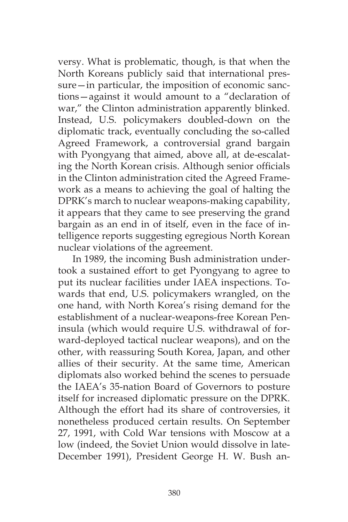versy. What is problematic, though, is that when the North Koreans publicly said that international pressure—in particular, the imposition of economic sanctions—against it would amount to a "declaration of war," the Clinton administration apparently blinked. Instead, U.S. policymakers doubled-down on the diplomatic track, eventually concluding the so-called Agreed Framework, a controversial grand bargain with Pyongyang that aimed, above all, at de-escalating the North Korean crisis. Although senior officials in the Clinton administration cited the Agreed Framework as a means to achieving the goal of halting the DPRK's march to nuclear weapons-making capability, it appears that they came to see preserving the grand bargain as an end in of itself, even in the face of intelligence reports suggesting egregious North Korean nuclear violations of the agreement.

In 1989, the incoming Bush administration undertook a sustained effort to get Pyongyang to agree to put its nuclear facilities under IAEA inspections. Towards that end, U.S. policymakers wrangled, on the one hand, with North Korea's rising demand for the establishment of a nuclear-weapons-free Korean Peninsula (which would require U.S. withdrawal of forward-deployed tactical nuclear weapons), and on the other, with reassuring South Korea, Japan, and other allies of their security. At the same time, American diplomats also worked behind the scenes to persuade the IAEA's 35-nation Board of Governors to posture itself for increased diplomatic pressure on the DPRK. Although the effort had its share of controversies, it nonetheless produced certain results. On September 27, 1991, with Cold War tensions with Moscow at a low (indeed, the Soviet Union would dissolve in late-December 1991), President George H. W. Bush an-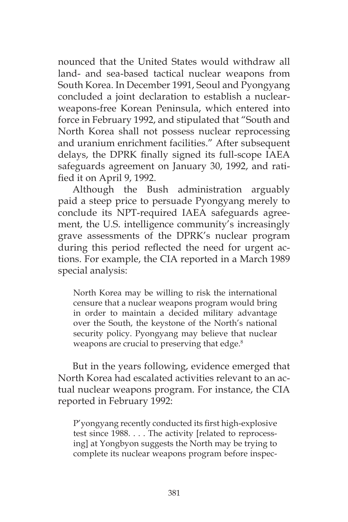nounced that the United States would withdraw all land- and sea-based tactical nuclear weapons from South Korea. In December 1991, Seoul and Pyongyang concluded a joint declaration to establish a nuclearweapons-free Korean Peninsula, which entered into force in February 1992, and stipulated that "South and North Korea shall not possess nuclear reprocessing and uranium enrichment facilities." After subsequent delays, the DPRK finally signed its full-scope IAEA safeguards agreement on January 30, 1992, and ratified it on April 9, 1992.

Although the Bush administration arguably paid a steep price to persuade Pyongyang merely to conclude its NPT-required IAEA safeguards agreement, the U.S. intelligence community's increasingly grave assessments of the DPRK's nuclear program during this period reflected the need for urgent actions. For example, the CIA reported in a March 1989 special analysis:

North Korea may be willing to risk the international censure that a nuclear weapons program would bring in order to maintain a decided military advantage over the South, the keystone of the North's national security policy. Pyongyang may believe that nuclear weapons are crucial to preserving that edge.<sup>8</sup>

But in the years following, evidence emerged that North Korea had escalated activities relevant to an actual nuclear weapons program. For instance, the CIA reported in February 1992:

P'yongyang recently conducted its first high-explosive test since 1988. . . . The activity [related to reprocessing] at Yongbyon suggests the North may be trying to complete its nuclear weapons program before inspec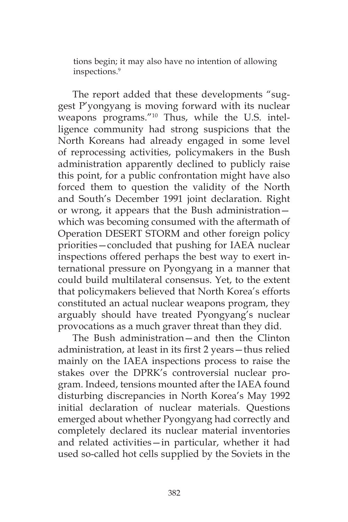tions begin; it may also have no intention of allowing inspections.9

The report added that these developments "suggest P'yongyang is moving forward with its nuclear weapons programs."10 Thus, while the U.S. intelligence community had strong suspicions that the North Koreans had already engaged in some level of reprocessing activities, policymakers in the Bush administration apparently declined to publicly raise this point, for a public confrontation might have also forced them to question the validity of the North and South's December 1991 joint declaration. Right or wrong, it appears that the Bush administration which was becoming consumed with the aftermath of Operation DESERT STORM and other foreign policy priorities—concluded that pushing for IAEA nuclear inspections offered perhaps the best way to exert international pressure on Pyongyang in a manner that could build multilateral consensus. Yet, to the extent that policymakers believed that North Korea's efforts constituted an actual nuclear weapons program, they arguably should have treated Pyongyang's nuclear provocations as a much graver threat than they did.

The Bush administration—and then the Clinton administration, at least in its first 2 years—thus relied mainly on the IAEA inspections process to raise the stakes over the DPRK's controversial nuclear program. Indeed, tensions mounted after the IAEA found disturbing discrepancies in North Korea's May 1992 initial declaration of nuclear materials. Questions emerged about whether Pyongyang had correctly and completely declared its nuclear material inventories and related activities—in particular, whether it had used so-called hot cells supplied by the Soviets in the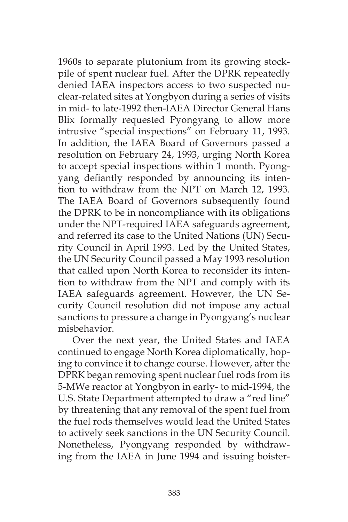1960s to separate plutonium from its growing stockpile of spent nuclear fuel. After the DPRK repeatedly denied IAEA inspectors access to two suspected nuclear-related sites at Yongbyon during a series of visits in mid- to late-1992 then-IAEA Director General Hans Blix formally requested Pyongyang to allow more intrusive "special inspections" on February 11, 1993. In addition, the IAEA Board of Governors passed a resolution on February 24, 1993, urging North Korea to accept special inspections within 1 month. Pyongyang defiantly responded by announcing its intention to withdraw from the NPT on March 12, 1993. The IAEA Board of Governors subsequently found the DPRK to be in noncompliance with its obligations under the NPT-required IAEA safeguards agreement, and referred its case to the United Nations (UN) Security Council in April 1993. Led by the United States, the UN Security Council passed a May 1993 resolution that called upon North Korea to reconsider its intention to withdraw from the NPT and comply with its IAEA safeguards agreement. However, the UN Security Council resolution did not impose any actual sanctions to pressure a change in Pyongyang's nuclear misbehavior.

Over the next year, the United States and IAEA continued to engage North Korea diplomatically, hoping to convince it to change course. However, after the DPRK began removing spent nuclear fuel rods from its 5-MWe reactor at Yongbyon in early- to mid-1994, the U.S. State Department attempted to draw a "red line" by threatening that any removal of the spent fuel from the fuel rods themselves would lead the United States to actively seek sanctions in the UN Security Council. Nonetheless, Pyongyang responded by withdrawing from the IAEA in June 1994 and issuing boister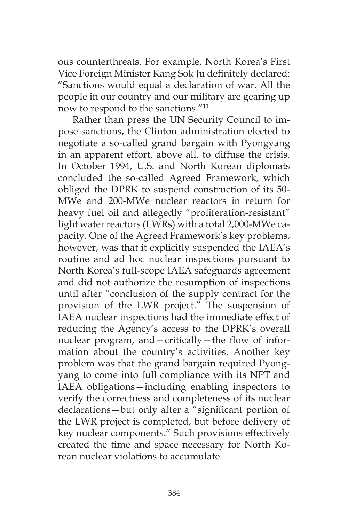ous counterthreats. For example, North Korea's First Vice Foreign Minister Kang Sok Ju definitely declared: "Sanctions would equal a declaration of war. All the people in our country and our military are gearing up now to respond to the sanctions."11

Rather than press the UN Security Council to impose sanctions, the Clinton administration elected to negotiate a so-called grand bargain with Pyongyang in an apparent effort, above all, to diffuse the crisis. In October 1994, U.S. and North Korean diplomats concluded the so-called Agreed Framework, which obliged the DPRK to suspend construction of its 50- MWe and 200-MWe nuclear reactors in return for heavy fuel oil and allegedly "proliferation-resistant" light water reactors (LWRs) with a total 2,000-MWe capacity. One of the Agreed Framework's key problems, however, was that it explicitly suspended the IAEA's routine and ad hoc nuclear inspections pursuant to North Korea's full-scope IAEA safeguards agreement and did not authorize the resumption of inspections until after "conclusion of the supply contract for the provision of the LWR project." The suspension of IAEA nuclear inspections had the immediate effect of reducing the Agency's access to the DPRK's overall nuclear program, and—critically—the flow of information about the country's activities. Another key problem was that the grand bargain required Pyongyang to come into full compliance with its NPT and IAEA obligations—including enabling inspectors to verify the correctness and completeness of its nuclear declarations—but only after a "significant portion of the LWR project is completed, but before delivery of key nuclear components." Such provisions effectively created the time and space necessary for North Korean nuclear violations to accumulate.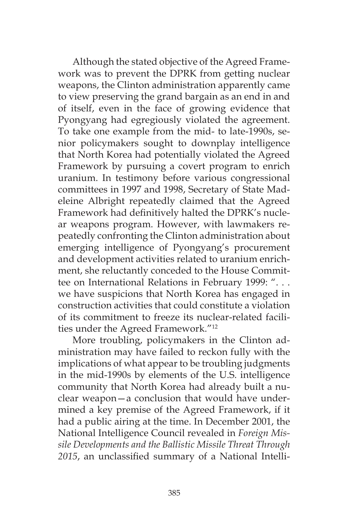Although the stated objective of the Agreed Framework was to prevent the DPRK from getting nuclear weapons, the Clinton administration apparently came to view preserving the grand bargain as an end in and of itself, even in the face of growing evidence that Pyongyang had egregiously violated the agreement. To take one example from the mid- to late-1990s, senior policymakers sought to downplay intelligence that North Korea had potentially violated the Agreed Framework by pursuing a covert program to enrich uranium. In testimony before various congressional committees in 1997 and 1998, Secretary of State Madeleine Albright repeatedly claimed that the Agreed Framework had definitively halted the DPRK's nuclear weapons program. However, with lawmakers repeatedly confronting the Clinton administration about emerging intelligence of Pyongyang's procurement and development activities related to uranium enrichment, she reluctantly conceded to the House Committee on International Relations in February 1999: ". . . we have suspicions that North Korea has engaged in construction activities that could constitute a violation of its commitment to freeze its nuclear-related facilities under the Agreed Framework."12

More troubling, policymakers in the Clinton administration may have failed to reckon fully with the implications of what appear to be troubling judgments in the mid-1990s by elements of the U.S. intelligence community that North Korea had already built a nuclear weapon—a conclusion that would have undermined a key premise of the Agreed Framework, if it had a public airing at the time. In December 2001, the National Intelligence Council revealed in *Foreign Missile Developments and the Ballistic Missile Threat Through 2015*, an unclassified summary of a National Intelli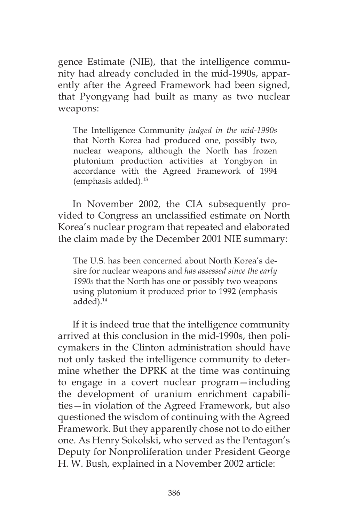gence Estimate (NIE), that the intelligence community had already concluded in the mid-1990s, apparently after the Agreed Framework had been signed, that Pyongyang had built as many as two nuclear weapons:

The Intelligence Community *judged in the mid-1990s* that North Korea had produced one, possibly two, nuclear weapons, although the North has frozen plutonium production activities at Yongbyon in accordance with the Agreed Framework of 1994 (emphasis added).13

In November 2002, the CIA subsequently provided to Congress an unclassified estimate on North Korea's nuclear program that repeated and elaborated the claim made by the December 2001 NIE summary:

The U.S. has been concerned about North Korea's desire for nuclear weapons and *has assessed since the early 1990s* that the North has one or possibly two weapons using plutonium it produced prior to 1992 (emphasis added).14

If it is indeed true that the intelligence community arrived at this conclusion in the mid-1990s, then policymakers in the Clinton administration should have not only tasked the intelligence community to determine whether the DPRK at the time was continuing to engage in a covert nuclear program—including the development of uranium enrichment capabilities—in violation of the Agreed Framework, but also questioned the wisdom of continuing with the Agreed Framework. But they apparently chose not to do either one. As Henry Sokolski, who served as the Pentagon's Deputy for Nonproliferation under President George H. W. Bush, explained in a November 2002 article: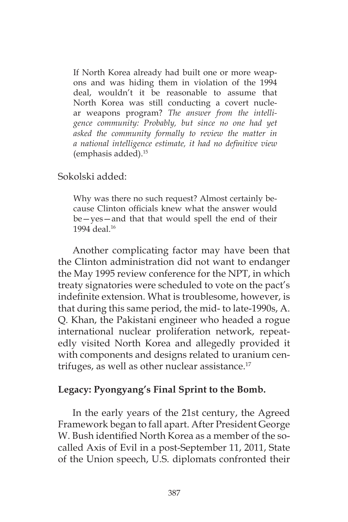If North Korea already had built one or more weapons and was hiding them in violation of the 1994 deal, wouldn't it be reasonable to assume that North Korea was still conducting a covert nuclear weapons program? *The answer from the intelligence community: Probably, but since no one had yet asked the community formally to review the matter in a national intelligence estimate, it had no definitive view* (emphasis added).15

#### Sokolski added:

Why was there no such request? Almost certainly because Clinton officials knew what the answer would be—yes—and that that would spell the end of their 1994 deal.<sup>16</sup>

Another complicating factor may have been that the Clinton administration did not want to endanger the May 1995 review conference for the NPT, in which treaty signatories were scheduled to vote on the pact's indefinite extension. What is troublesome, however, is that during this same period, the mid- to late-1990s, A. Q. Khan, the Pakistani engineer who headed a rogue international nuclear proliferation network, repeatedly visited North Korea and allegedly provided it with components and designs related to uranium centrifuges, as well as other nuclear assistance.<sup>17</sup>

### **Legacy: Pyongyang's Final Sprint to the Bomb.**

In the early years of the 21st century, the Agreed Framework began to fall apart. After President George W. Bush identified North Korea as a member of the socalled Axis of Evil in a post-September 11, 2011, State of the Union speech, U.S. diplomats confronted their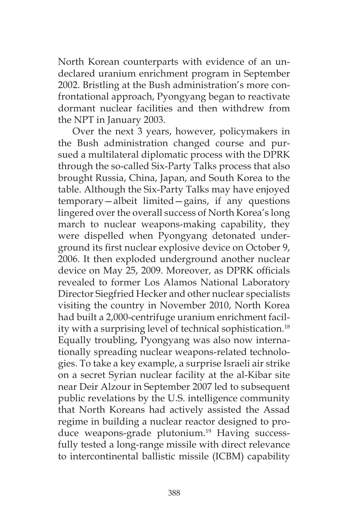North Korean counterparts with evidence of an undeclared uranium enrichment program in September 2002. Bristling at the Bush administration's more confrontational approach, Pyongyang began to reactivate dormant nuclear facilities and then withdrew from the NPT in January 2003.

Over the next 3 years, however, policymakers in the Bush administration changed course and pursued a multilateral diplomatic process with the DPRK through the so-called Six-Party Talks process that also brought Russia, China, Japan, and South Korea to the table. Although the Six-Party Talks may have enjoyed temporary—albeit limited—gains, if any questions lingered over the overall success of North Korea's long march to nuclear weapons-making capability, they were dispelled when Pyongyang detonated underground its first nuclear explosive device on October 9, 2006. It then exploded underground another nuclear device on May 25, 2009. Moreover, as DPRK officials revealed to former Los Alamos National Laboratory Director Siegfried Hecker and other nuclear specialists visiting the country in November 2010, North Korea had built a 2,000-centrifuge uranium enrichment facility with a surprising level of technical sophistication.<sup>18</sup> Equally troubling, Pyongyang was also now internationally spreading nuclear weapons-related technologies. To take a key example, a surprise Israeli air strike on a secret Syrian nuclear facility at the al-Kibar site near Deir Alzour in September 2007 led to subsequent public revelations by the U.S. intelligence community that North Koreans had actively assisted the Assad regime in building a nuclear reactor designed to produce weapons-grade plutonium.<sup>19</sup> Having successfully tested a long-range missile with direct relevance to intercontinental ballistic missile (ICBM) capability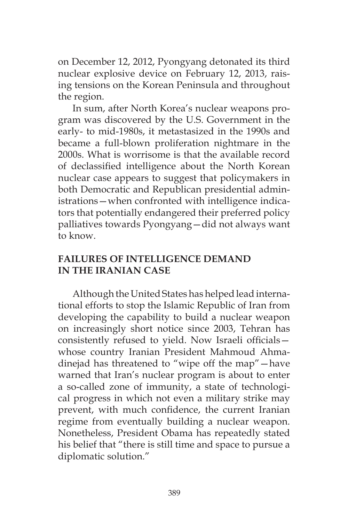on December 12, 2012, Pyongyang detonated its third nuclear explosive device on February 12, 2013, raising tensions on the Korean Peninsula and throughout the region.

In sum, after North Korea's nuclear weapons program was discovered by the U.S. Government in the early- to mid-1980s, it metastasized in the 1990s and became a full-blown proliferation nightmare in the 2000s. What is worrisome is that the available record of declassified intelligence about the North Korean nuclear case appears to suggest that policymakers in both Democratic and Republican presidential administrations—when confronted with intelligence indicators that potentially endangered their preferred policy palliatives towards Pyongyang—did not always want to know.

# **FAILURES OF INTELLIGENCE DEMAND IN THE IRANIAN CASE**

Although the United States has helped lead international efforts to stop the Islamic Republic of Iran from developing the capability to build a nuclear weapon on increasingly short notice since 2003, Tehran has consistently refused to yield. Now Israeli officials whose country Iranian President Mahmoud Ahmadinejad has threatened to "wipe off the map"—have warned that Iran's nuclear program is about to enter a so-called zone of immunity, a state of technological progress in which not even a military strike may prevent, with much confidence, the current Iranian regime from eventually building a nuclear weapon. Nonetheless, President Obama has repeatedly stated his belief that "there is still time and space to pursue a diplomatic solution."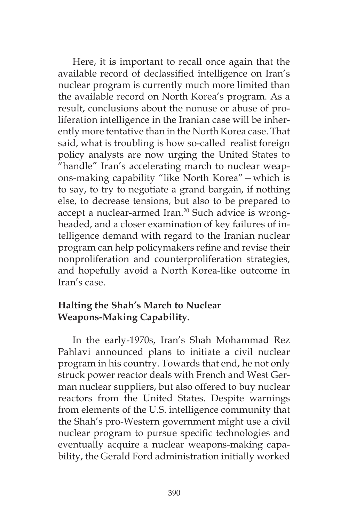Here, it is important to recall once again that the available record of declassified intelligence on Iran's nuclear program is currently much more limited than the available record on North Korea's program. As a result, conclusions about the nonuse or abuse of proliferation intelligence in the Iranian case will be inherently more tentative than in the North Korea case. That said, what is troubling is how so-called realist foreign policy analysts are now urging the United States to "handle" Iran's accelerating march to nuclear weapons-making capability "like North Korea"—which is to say, to try to negotiate a grand bargain, if nothing else, to decrease tensions, but also to be prepared to accept a nuclear-armed Iran.<sup>20</sup> Such advice is wrongheaded, and a closer examination of key failures of intelligence demand with regard to the Iranian nuclear program can help policymakers refine and revise their nonproliferation and counterproliferation strategies, and hopefully avoid a North Korea-like outcome in Iran's case.

## **Halting the Shah's March to Nuclear Weapons-Making Capability.**

In the early-1970s, Iran's Shah Mohammad Rez Pahlavi announced plans to initiate a civil nuclear program in his country. Towards that end, he not only struck power reactor deals with French and West German nuclear suppliers, but also offered to buy nuclear reactors from the United States. Despite warnings from elements of the U.S. intelligence community that the Shah's pro-Western government might use a civil nuclear program to pursue specific technologies and eventually acquire a nuclear weapons-making capability, the Gerald Ford administration initially worked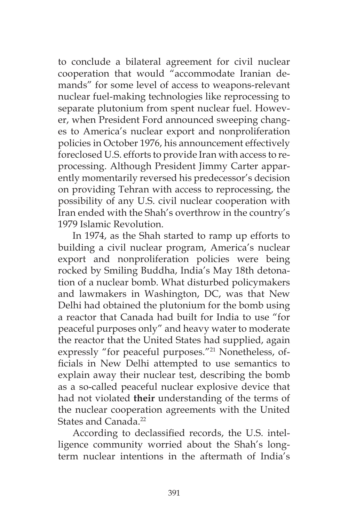to conclude a bilateral agreement for civil nuclear cooperation that would "accommodate Iranian demands" for some level of access to weapons-relevant nuclear fuel-making technologies like reprocessing to separate plutonium from spent nuclear fuel. However, when President Ford announced sweeping changes to America's nuclear export and nonproliferation policies in October 1976, his announcement effectively foreclosed U.S. efforts to provide Iran with access to reprocessing. Although President Jimmy Carter apparently momentarily reversed his predecessor's decision on providing Tehran with access to reprocessing, the possibility of any U.S. civil nuclear cooperation with Iran ended with the Shah's overthrow in the country's 1979 Islamic Revolution.

In 1974, as the Shah started to ramp up efforts to building a civil nuclear program, America's nuclear export and nonproliferation policies were being rocked by Smiling Buddha, India's May 18th detonation of a nuclear bomb. What disturbed policymakers and lawmakers in Washington, DC, was that New Delhi had obtained the plutonium for the bomb using a reactor that Canada had built for India to use "for peaceful purposes only" and heavy water to moderate the reactor that the United States had supplied, again expressly "for peaceful purposes."21 Nonetheless, officials in New Delhi attempted to use semantics to explain away their nuclear test, describing the bomb as a so-called peaceful nuclear explosive device that had not violated **their** understanding of the terms of the nuclear cooperation agreements with the United States and Canada.<sup>22</sup>

According to declassified records, the U.S. intelligence community worried about the Shah's longterm nuclear intentions in the aftermath of India's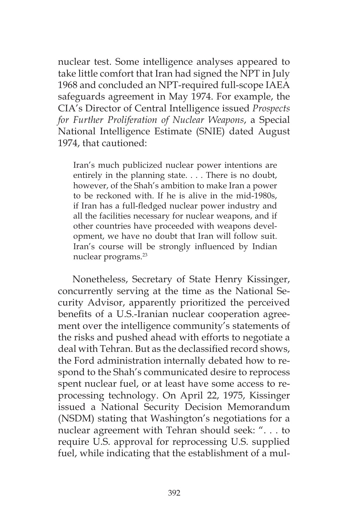nuclear test. Some intelligence analyses appeared to take little comfort that Iran had signed the NPT in July 1968 and concluded an NPT-required full-scope IAEA safeguards agreement in May 1974. For example, the CIA's Director of Central Intelligence issued *Prospects for Further Proliferation of Nuclear Weapons*, a Special National Intelligence Estimate (SNIE) dated August 1974, that cautioned:

Iran's much publicized nuclear power intentions are entirely in the planning state. . . . There is no doubt, however, of the Shah's ambition to make Iran a power to be reckoned with. If he is alive in the mid-1980s, if Iran has a full-fledged nuclear power industry and all the facilities necessary for nuclear weapons, and if other countries have proceeded with weapons development, we have no doubt that Iran will follow suit. Iran's course will be strongly influenced by Indian nuclear programs.23

Nonetheless, Secretary of State Henry Kissinger, concurrently serving at the time as the National Security Advisor, apparently prioritized the perceived benefits of a U.S.-Iranian nuclear cooperation agreement over the intelligence community's statements of the risks and pushed ahead with efforts to negotiate a deal with Tehran. But as the declassified record shows, the Ford administration internally debated how to respond to the Shah's communicated desire to reprocess spent nuclear fuel, or at least have some access to reprocessing technology. On April 22, 1975, Kissinger issued a National Security Decision Memorandum (NSDM) stating that Washington's negotiations for a nuclear agreement with Tehran should seek: ". . . to require U.S. approval for reprocessing U.S. supplied fuel, while indicating that the establishment of a mul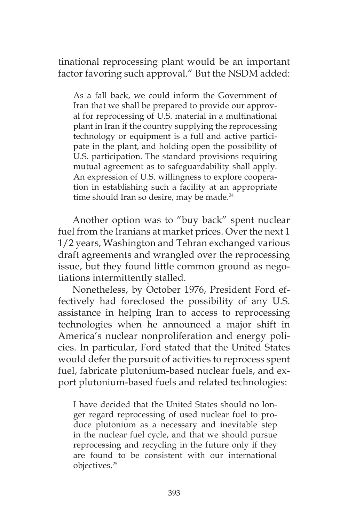tinational reprocessing plant would be an important factor favoring such approval." But the NSDM added:

As a fall back, we could inform the Government of Iran that we shall be prepared to provide our approval for reprocessing of U.S. material in a multinational plant in Iran if the country supplying the reprocessing technology or equipment is a full and active participate in the plant, and holding open the possibility of U.S. participation. The standard provisions requiring mutual agreement as to safeguardability shall apply. An expression of U.S. willingness to explore cooperation in establishing such a facility at an appropriate time should Iran so desire, may be made. $24$ 

Another option was to "buy back" spent nuclear fuel from the Iranians at market prices. Over the next 1 1/2 years, Washington and Tehran exchanged various draft agreements and wrangled over the reprocessing issue, but they found little common ground as negotiations intermittently stalled.

Nonetheless, by October 1976, President Ford effectively had foreclosed the possibility of any U.S. assistance in helping Iran to access to reprocessing technologies when he announced a major shift in America's nuclear nonproliferation and energy policies. In particular, Ford stated that the United States would defer the pursuit of activities to reprocess spent fuel, fabricate plutonium-based nuclear fuels, and export plutonium-based fuels and related technologies:

I have decided that the United States should no longer regard reprocessing of used nuclear fuel to produce plutonium as a necessary and inevitable step in the nuclear fuel cycle, and that we should pursue reprocessing and recycling in the future only if they are found to be consistent with our international objectives.25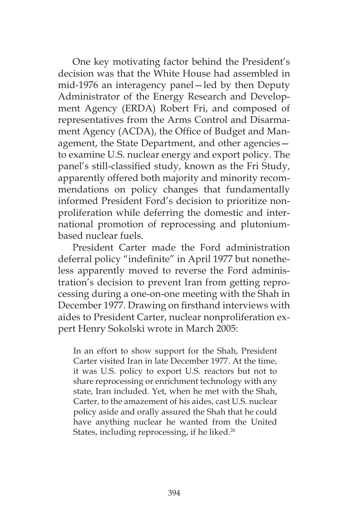One key motivating factor behind the President's decision was that the White House had assembled in mid-1976 an interagency panel—led by then Deputy Administrator of the Energy Research and Development Agency (ERDA) Robert Fri, and composed of representatives from the Arms Control and Disarmament Agency (ACDA), the Office of Budget and Management, the State Department, and other agencies to examine U.S. nuclear energy and export policy. The panel's still-classified study, known as the Fri Study, apparently offered both majority and minority recommendations on policy changes that fundamentally informed President Ford's decision to prioritize nonproliferation while deferring the domestic and international promotion of reprocessing and plutoniumbased nuclear fuels.

President Carter made the Ford administration deferral policy "indefinite" in April 1977 but nonetheless apparently moved to reverse the Ford administration's decision to prevent Iran from getting reprocessing during a one-on-one meeting with the Shah in December 1977. Drawing on firsthand interviews with aides to President Carter, nuclear nonproliferation expert Henry Sokolski wrote in March 2005:

In an effort to show support for the Shah, President Carter visited Iran in late December 1977. At the time, it was U.S. policy to export U.S. reactors but not to share reprocessing or enrichment technology with any state, Iran included. Yet, when he met with the Shah, Carter, to the amazement of his aides, cast U.S. nuclear policy aside and orally assured the Shah that he could have anything nuclear he wanted from the United States, including reprocessing, if he liked.<sup>26</sup>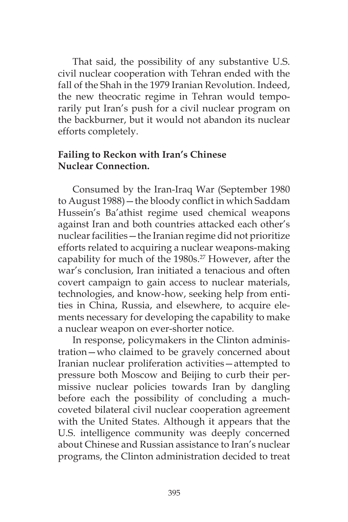That said, the possibility of any substantive U.S. civil nuclear cooperation with Tehran ended with the fall of the Shah in the 1979 Iranian Revolution. Indeed, the new theocratic regime in Tehran would temporarily put Iran's push for a civil nuclear program on the backburner, but it would not abandon its nuclear efforts completely.

### **Failing to Reckon with Iran's Chinese Nuclear Connection.**

Consumed by the Iran-Iraq War (September 1980 to August 1988)—the bloody conflict in which Saddam Hussein's Ba'athist regime used chemical weapons against Iran and both countries attacked each other's nuclear facilities—the Iranian regime did not prioritize efforts related to acquiring a nuclear weapons-making capability for much of the 1980s.<sup>27</sup> However, after the war's conclusion, Iran initiated a tenacious and often covert campaign to gain access to nuclear materials, technologies, and know-how, seeking help from entities in China, Russia, and elsewhere, to acquire elements necessary for developing the capability to make a nuclear weapon on ever-shorter notice.

In response, policymakers in the Clinton administration—who claimed to be gravely concerned about Iranian nuclear proliferation activities—attempted to pressure both Moscow and Beijing to curb their permissive nuclear policies towards Iran by dangling before each the possibility of concluding a muchcoveted bilateral civil nuclear cooperation agreement with the United States. Although it appears that the U.S. intelligence community was deeply concerned about Chinese and Russian assistance to Iran's nuclear programs, the Clinton administration decided to treat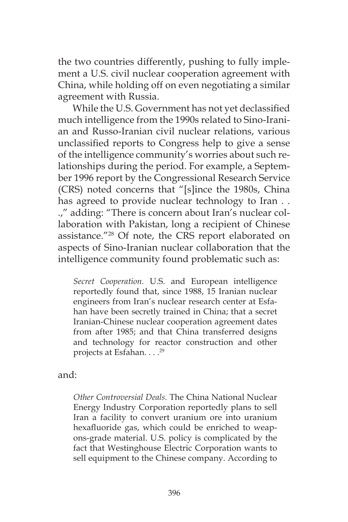the two countries differently, pushing to fully implement a U.S. civil nuclear cooperation agreement with China, while holding off on even negotiating a similar agreement with Russia.

While the U.S. Government has not yet declassified much intelligence from the 1990s related to Sino-Iranian and Russo-Iranian civil nuclear relations, various unclassified reports to Congress help to give a sense of the intelligence community's worries about such relationships during the period. For example, a September 1996 report by the Congressional Research Service (CRS) noted concerns that "[s]ince the 1980s, China has agreed to provide nuclear technology to Iran . . .," adding: "There is concern about Iran's nuclear collaboration with Pakistan, long a recipient of Chinese assistance."28 Of note, the CRS report elaborated on aspects of Sino-Iranian nuclear collaboration that the intelligence community found problematic such as:

*Secret Cooperation.* U.S. and European intelligence reportedly found that, since 1988, 15 Iranian nuclear engineers from Iran's nuclear research center at Esfahan have been secretly trained in China; that a secret Iranian-Chinese nuclear cooperation agreement dates from after 1985; and that China transferred designs and technology for reactor construction and other projects at Esfahan. . . .29

and:

*Other Controversial Deals.* The China National Nuclear Energy Industry Corporation reportedly plans to sell Iran a facility to convert uranium ore into uranium hexafluoride gas, which could be enriched to weapons-grade material. U.S. policy is complicated by the fact that Westinghouse Electric Corporation wants to sell equipment to the Chinese company. According to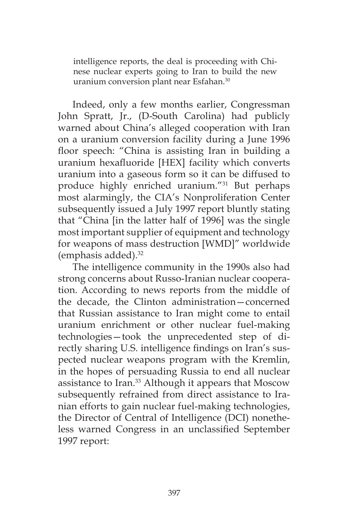intelligence reports, the deal is proceeding with Chinese nuclear experts going to Iran to build the new uranium conversion plant near Esfahan.<sup>30</sup>

Indeed, only a few months earlier, Congressman John Spratt, Jr., (D-South Carolina) had publicly warned about China's alleged cooperation with Iran on a uranium conversion facility during a June 1996 floor speech: "China is assisting Iran in building a uranium hexafluoride [HEX] facility which converts uranium into a gaseous form so it can be diffused to produce highly enriched uranium."31 But perhaps most alarmingly, the CIA's Nonproliferation Center subsequently issued a July 1997 report bluntly stating that "China [in the latter half of 1996] was the single most important supplier of equipment and technology for weapons of mass destruction [WMD]" worldwide (emphasis added).32

The intelligence community in the 1990s also had strong concerns about Russo-Iranian nuclear cooperation. According to news reports from the middle of the decade, the Clinton administration—concerned that Russian assistance to Iran might come to entail uranium enrichment or other nuclear fuel-making technologies—took the unprecedented step of directly sharing U.S. intelligence findings on Iran's suspected nuclear weapons program with the Kremlin, in the hopes of persuading Russia to end all nuclear assistance to Iran.33 Although it appears that Moscow subsequently refrained from direct assistance to Iranian efforts to gain nuclear fuel-making technologies, the Director of Central of Intelligence (DCI) nonetheless warned Congress in an unclassified September 1997 report: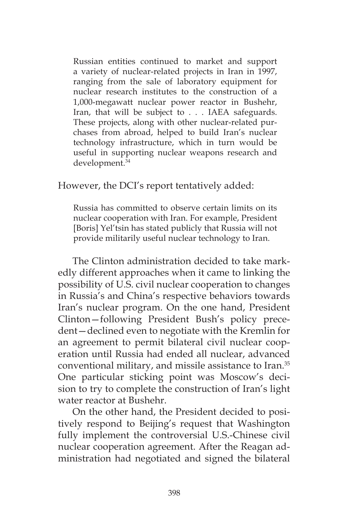Russian entities continued to market and support a variety of nuclear-related projects in Iran in 1997, ranging from the sale of laboratory equipment for nuclear research institutes to the construction of a 1,000-megawatt nuclear power reactor in Bushehr, Iran, that will be subject to . . . IAEA safeguards. These projects, along with other nuclear-related purchases from abroad, helped to build Iran's nuclear technology infrastructure, which in turn would be useful in supporting nuclear weapons research and development.34

However, the DCI's report tentatively added:

Russia has committed to observe certain limits on its nuclear cooperation with Iran. For example, President [Boris] Yel'tsin has stated publicly that Russia will not provide militarily useful nuclear technology to Iran.

The Clinton administration decided to take markedly different approaches when it came to linking the possibility of U.S. civil nuclear cooperation to changes in Russia's and China's respective behaviors towards Iran's nuclear program. On the one hand, President Clinton—following President Bush's policy precedent—declined even to negotiate with the Kremlin for an agreement to permit bilateral civil nuclear cooperation until Russia had ended all nuclear, advanced conventional military, and missile assistance to Iran.35 One particular sticking point was Moscow's decision to try to complete the construction of Iran's light water reactor at Bushehr.

On the other hand, the President decided to positively respond to Beijing's request that Washington fully implement the controversial U.S.-Chinese civil nuclear cooperation agreement. After the Reagan administration had negotiated and signed the bilateral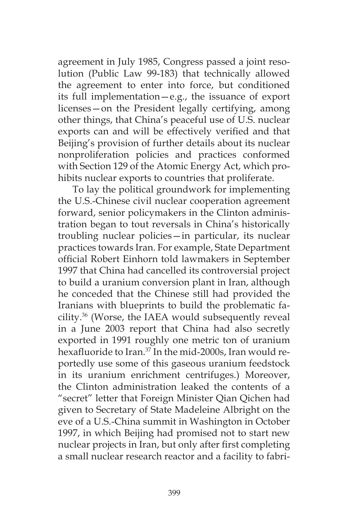agreement in July 1985, Congress passed a joint resolution (Public Law 99-183) that technically allowed the agreement to enter into force, but conditioned its full implementation—e.g., the issuance of export licenses—on the President legally certifying, among other things, that China's peaceful use of U.S. nuclear exports can and will be effectively verified and that Beijing's provision of further details about its nuclear nonproliferation policies and practices conformed with Section 129 of the Atomic Energy Act, which prohibits nuclear exports to countries that proliferate.

To lay the political groundwork for implementing the U.S.-Chinese civil nuclear cooperation agreement forward, senior policymakers in the Clinton administration began to tout reversals in China's historically troubling nuclear policies—in particular, its nuclear practices towards Iran. For example, State Department official Robert Einhorn told lawmakers in September 1997 that China had cancelled its controversial project to build a uranium conversion plant in Iran, although he conceded that the Chinese still had provided the Iranians with blueprints to build the problematic facility.36 (Worse, the IAEA would subsequently reveal in a June 2003 report that China had also secretly exported in 1991 roughly one metric ton of uranium hexafluoride to Iran.<sup>37</sup> In the mid-2000s, Iran would reportedly use some of this gaseous uranium feedstock in its uranium enrichment centrifuges.) Moreover, the Clinton administration leaked the contents of a "secret" letter that Foreign Minister Qian Qichen had given to Secretary of State Madeleine Albright on the eve of a U.S.-China summit in Washington in October 1997, in which Beijing had promised not to start new nuclear projects in Iran, but only after first completing a small nuclear research reactor and a facility to fabri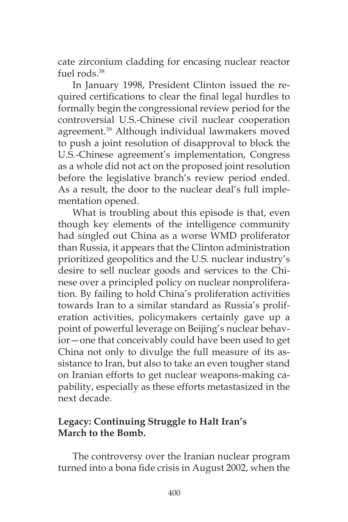cate zirconium cladding for encasing nuclear reactor fuel rods.<sup>38</sup>

In January 1998, President Clinton issued the required certifications to clear the final legal hurdles to formally begin the congressional review period for the controversial U.S.-Chinese civil nuclear cooperation agreement.<sup>39</sup> Although individual lawmakers moved to push a joint resolution of disapproval to block the U.S.-Chinese agreement's implementation, Congress as a whole did not act on the proposed joint resolution before the legislative branch's review period ended. As a result, the door to the nuclear deal's full implementation opened.

What is troubling about this episode is that, even though key elements of the intelligence community had singled out China as a worse WMD proliferator than Russia, it appears that the Clinton administration prioritized geopolitics and the U.S. nuclear industry's desire to sell nuclear goods and services to the Chinese over a principled policy on nuclear nonproliferation. By failing to hold China's proliferation activities towards Iran to a similar standard as Russia's proliferation activities, policymakers certainly gave up a point of powerful leverage on Beijing's nuclear behavior—one that conceivably could have been used to get China not only to divulge the full measure of its assistance to Iran, but also to take an even tougher stand on Iranian efforts to get nuclear weapons-making capability, especially as these efforts metastasized in the next decade.

# **Legacy: Continuing Struggle to Halt Iran's March to the Bomb.**

The controversy over the Iranian nuclear program turned into a bona fide crisis in August 2002, when the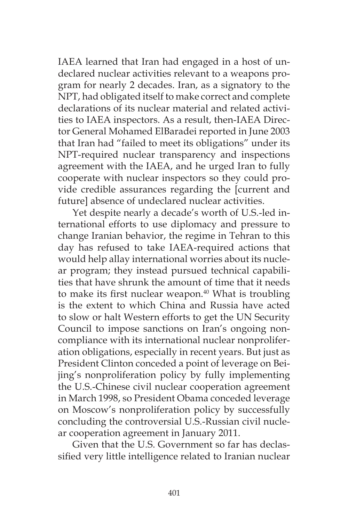IAEA learned that Iran had engaged in a host of undeclared nuclear activities relevant to a weapons program for nearly 2 decades. Iran, as a signatory to the NPT, had obligated itself to make correct and complete declarations of its nuclear material and related activities to IAEA inspectors. As a result, then-IAEA Director General Mohamed ElBaradei reported in June 2003 that Iran had "failed to meet its obligations" under its NPT-required nuclear transparency and inspections agreement with the IAEA, and he urged Iran to fully cooperate with nuclear inspectors so they could provide credible assurances regarding the [current and future] absence of undeclared nuclear activities.

Yet despite nearly a decade's worth of U.S.-led international efforts to use diplomacy and pressure to change Iranian behavior, the regime in Tehran to this day has refused to take IAEA-required actions that would help allay international worries about its nuclear program; they instead pursued technical capabilities that have shrunk the amount of time that it needs to make its first nuclear weapon.<sup>40</sup> What is troubling is the extent to which China and Russia have acted to slow or halt Western efforts to get the UN Security Council to impose sanctions on Iran's ongoing noncompliance with its international nuclear nonproliferation obligations, especially in recent years. But just as President Clinton conceded a point of leverage on Beijing's nonproliferation policy by fully implementing the U.S.-Chinese civil nuclear cooperation agreement in March 1998, so President Obama conceded leverage on Moscow's nonproliferation policy by successfully concluding the controversial U.S.-Russian civil nuclear cooperation agreement in January 2011.

Given that the U.S. Government so far has declassified very little intelligence related to Iranian nuclear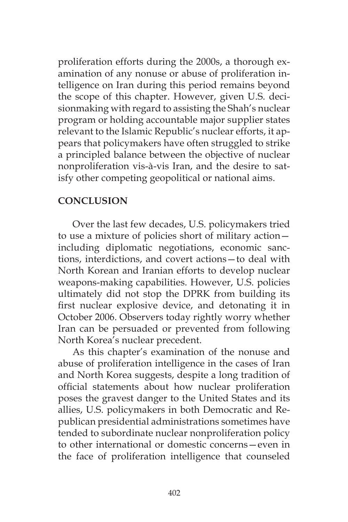proliferation efforts during the 2000s, a thorough examination of any nonuse or abuse of proliferation intelligence on Iran during this period remains beyond the scope of this chapter. However, given U.S. decisionmaking with regard to assisting the Shah's nuclear program or holding accountable major supplier states relevant to the Islamic Republic's nuclear efforts, it appears that policymakers have often struggled to strike a principled balance between the objective of nuclear nonproliferation vis-à-vis Iran, and the desire to satisfy other competing geopolitical or national aims.

## **CONCLUSION**

Over the last few decades, U.S. policymakers tried to use a mixture of policies short of military action including diplomatic negotiations, economic sanctions, interdictions, and covert actions—to deal with North Korean and Iranian efforts to develop nuclear weapons-making capabilities. However, U.S. policies ultimately did not stop the DPRK from building its first nuclear explosive device, and detonating it in October 2006. Observers today rightly worry whether Iran can be persuaded or prevented from following North Korea's nuclear precedent.

As this chapter's examination of the nonuse and abuse of proliferation intelligence in the cases of Iran and North Korea suggests, despite a long tradition of official statements about how nuclear proliferation poses the gravest danger to the United States and its allies, U.S. policymakers in both Democratic and Republican presidential administrations sometimes have tended to subordinate nuclear nonproliferation policy to other international or domestic concerns—even in the face of proliferation intelligence that counseled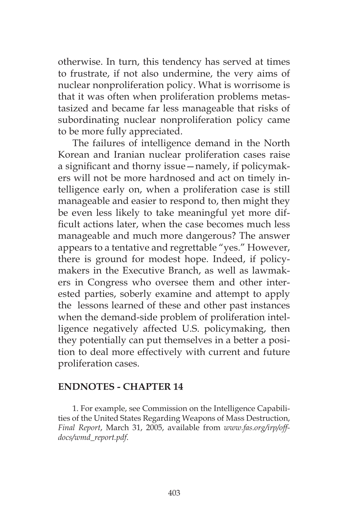otherwise. In turn, this tendency has served at times to frustrate, if not also undermine, the very aims of nuclear nonproliferation policy. What is worrisome is that it was often when proliferation problems metastasized and became far less manageable that risks of subordinating nuclear nonproliferation policy came to be more fully appreciated.

The failures of intelligence demand in the North Korean and Iranian nuclear proliferation cases raise a significant and thorny issue—namely, if policymakers will not be more hardnosed and act on timely intelligence early on, when a proliferation case is still manageable and easier to respond to, then might they be even less likely to take meaningful yet more difficult actions later, when the case becomes much less manageable and much more dangerous? The answer appears to a tentative and regrettable "yes." However, there is ground for modest hope. Indeed, if policymakers in the Executive Branch, as well as lawmakers in Congress who oversee them and other interested parties, soberly examine and attempt to apply the lessons learned of these and other past instances when the demand-side problem of proliferation intelligence negatively affected U.S. policymaking, then they potentially can put themselves in a better a position to deal more effectively with current and future proliferation cases.

### **ENDNOTES - CHAPTER 14**

1. For example, see Commission on the Intelligence Capabilities of the United States Regarding Weapons of Mass Destruction, *Final Report*, March 31, 2005, available from *www.fas.org/irp/offdocs/wmd\_report.pdf*.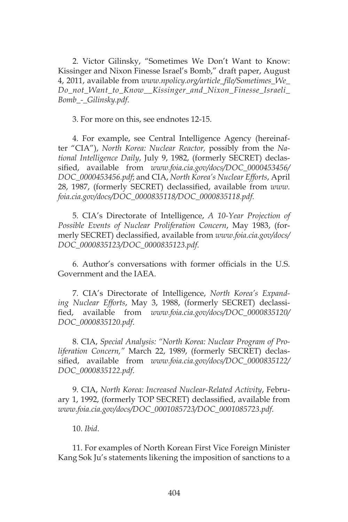2. Victor Gilinsky, "Sometimes We Don't Want to Know: Kissinger and Nixon Finesse Israel's Bomb," draft paper, August 4, 2011, available from *www.npolicy.org/article\_file/Sometimes\_We\_ Do\_not\_Want\_to\_Know\_\_Kissinger\_and\_Nixon\_Finesse\_Israeli\_ Bomb\_-\_Gilinsky.pdf*.

3. For more on this, see endnotes 12-15.

4. For example, see Central Intelligence Agency (hereinafter "CIA"), *North Korea: Nuclear Reactor,* possibly from the *National Intelligence Daily*, July 9, 1982, (formerly SECRET) declassified, available from *www.foia.cia.gov/docs/DOC\_0000453456/ DOC\_0000453456.pdf*; and CIA, *North Korea's Nuclear Efforts*, April 28, 1987, (formerly SECRET) declassified, available from *www. foia.cia.gov/docs/DOC\_0000835118/DOC\_0000835118.pdf.*

5. CIA's Directorate of Intelligence, *A 10-Year Projection of Possible Events of Nuclear Proliferation Concern*, May 1983, (formerly SECRET) declassified, available from *www.foia.cia.gov/docs/ DOC\_0000835123/DOC\_0000835123.pdf*.

6. Author's conversations with former officials in the U.S. Government and the IAEA.

7. CIA's Directorate of Intelligence, *North Korea's Expanding Nuclear Efforts*, May 3, 1988, (formerly SECRET) declassified, available from *www.foia.cia.gov/docs/DOC\_0000835120/ DOC\_0000835120.pdf*.

8. CIA, *Special Analysis: "North Korea: Nuclear Program of Proliferation Concern,"* March 22, 1989, (formerly SECRET) declassified, available from *www.foia.cia.gov/docs/DOC\_0000835122/ DOC\_0000835122.pdf*.

9. CIA, *North Korea: Increased Nuclear-Related Activity*, February 1, 1992, (formerly TOP SECRET) declassified, available from *www.foia.cia.gov/docs/DOC\_0001085723/DOC\_0001085723.pdf*.

10. *Ibid*.

11. For examples of North Korean First Vice Foreign Minister Kang Sok Ju's statements likening the imposition of sanctions to a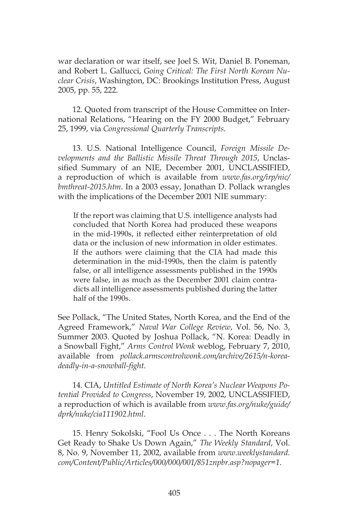war declaration or war itself, see Joel S. Wit, Daniel B. Poneman, and Robert L. Gallucci, *Going Critical: The First North Korean Nuclear Crisis*, Washington, DC: Brookings Institution Press, August 2005, pp. 55, 222.

12. Quoted from transcript of the House Committee on International Relations, "Hearing on the FY 2000 Budget," February 25, 1999, via *Congressional Quarterly Transcripts*.

13. U.S. National Intelligence Council, *Foreign Missile Developments and the Ballistic Missile Threat Through 2015*, Unclassified Summary of an NIE, December 2001, UNCLASSIFIED, a reproduction of which is available from *www.fas.org/irp/nic/ bmthreat-2015.htm*. In a 2003 essay, Jonathan D. Pollack wrangles with the implications of the December 2001 NIE summary:

If the report was claiming that U.S. intelligence analysts had concluded that North Korea had produced these weapons in the mid-1990s, it reflected either reinterpretation of old data or the inclusion of new information in older estimates. If the authors were claiming that the CIA had made this determination in the mid-1990s, then the claim is patently false, or all intelligence assessments published in the 1990s were false, in as much as the December 2001 claim contradicts all intelligence assessments published during the latter half of the 1990s.

See Pollack, "The United States, North Korea, and the End of the Agreed Framework," *Naval War College Review*, Vol. 56, No. 3, Summer 2003. Quoted by Joshua Pollack, "N. Korea: Deadly in a Snowball Fight," *Arms Control Wonk* weblog, February 7, 2010, available from *pollack.armscontrolwonk.com/archive/2615/n-koreadeadly-in-a-snowball-fight*.

14. CIA, *Untitled Estimate of North Korea's Nuclear Weapons Potential Provided to Congress*, November 19, 2002, UNCLASSIFIED, a reproduction of which is available from *www.fas.org/nuke/guide/ dprk/nuke/cia111902.html*.

15. Henry Sokolski, "Fool Us Once . . . The North Koreans Get Ready to Shake Us Down Again," *The Weekly Standard*, Vol. 8, No. 9, November 11, 2002, available from *www.weeklystandard. com/Content/Public/Articles/000/000/001/851znpbr.asp?nopager=1*.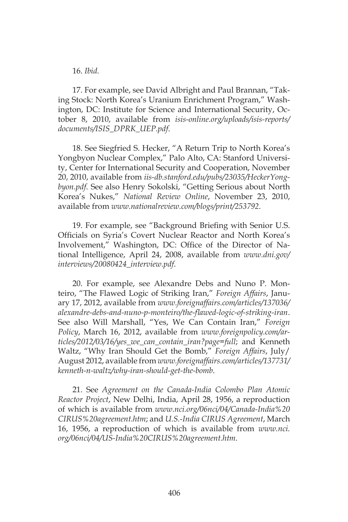#### 16. *Ibid.*

17. For example, see David Albright and Paul Brannan, "Taking Stock: North Korea's Uranium Enrichment Program," Washington, DC: Institute for Science and International Security, October 8, 2010, available from *isis-online.org/uploads/isis-reports/ documents/ISIS\_DPRK\_UEP.pdf*.

18. See Siegfried S. Hecker, "A Return Trip to North Korea's Yongbyon Nuclear Complex," Palo Alto, CA: Stanford University, Center for International Security and Cooperation, November 20, 2010, available from *iis-db.stanford.edu/pubs/23035/HeckerYongbyon.pdf*. See also Henry Sokolski, "Getting Serious about North Korea's Nukes," *National Review Online*, November 23, 2010, available from *www.nationalreview.com/blogs/print/253792*.

19. For example, see "Background Briefing with Senior U.S. Officials on Syria's Covert Nuclear Reactor and North Korea's Involvement," Washington, DC: Office of the Director of National Intelligence, April 24, 2008, available from *www.dni.gov/ interviews/20080424\_interview.pdf*.

20. For example, see Alexandre Debs and Nuno P. Monteiro, "The Flawed Logic of Striking Iran," *Foreign Affairs*, January 17, 2012, available from *www.foreignaffairs.com/articles/137036/ alexandre-debs-and-nuno-p-monteiro/the-flawed-logic-of-striking-iran*. See also Will Marshall, "Yes, We Can Contain Iran," *Foreign Policy*, March 16, 2012, available from *www.foreignpolicy.com/articles/2012/03/16/yes\_we\_can\_contain\_iran?page=full*; and Kenneth Waltz, "Why Iran Should Get the Bomb," *Foreign Affairs*, July/ August 2012, available from *www.foreignaffairs.com/articles/137731/ kenneth-n-waltz/why-iran-should-get-the-bomb*.

21. See *Agreement on the Canada-India Colombo Plan Atomic Reactor Project*, New Delhi, India, April 28, 1956, a reproduction of which is available from *www.nci.org/06nci/04/Canada-India%20 CIRUS%20agreement.htm*; and *U.S.-India CIRUS Agreement*, March 16, 1956, a reproduction of which is available from *www.nci. org/06nci/04/US-India%20CIRUS%20agreement.htm*.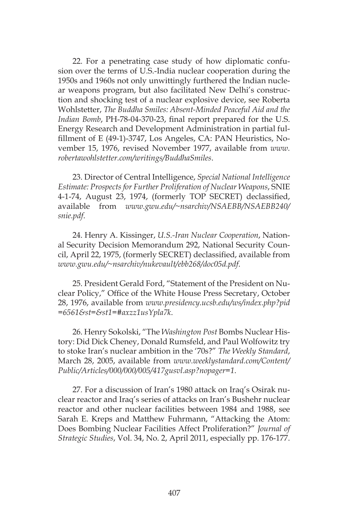22. For a penetrating case study of how diplomatic confusion over the terms of U.S.-India nuclear cooperation during the 1950s and 1960s not only unwittingly furthered the Indian nuclear weapons program, but also facilitated New Delhi's construction and shocking test of a nuclear explosive device, see Roberta Wohlstetter, *The Buddha Smiles: Absent-Minded Peaceful Aid and the Indian Bomb*, PH-78-04-370-23, final report prepared for the U.S. Energy Research and Development Administration in partial fulfillment of E (49-1)-3747, Los Angeles, CA: PAN Heuristics, November 15, 1976, revised November 1977, available from *www. robertawohlstetter.com/writings/BuddhaSmiles*.

23. Director of Central Intelligence, *Special National Intelligence Estimate: Prospects for Further Proliferation of Nuclear Weapons*, SNIE 4-1-74, August 23, 1974, (formerly TOP SECRET) declassified, available from *www.gwu.edu/~nsarchiv/NSAEBB/NSAEBB240/ snie.pdf*.

24. Henry A. Kissinger, *U.S.-Iran Nuclear Cooperation*, National Security Decision Memorandum 292, National Security Council, April 22, 1975, (formerly SECRET) declassified, available from *www.gwu.edu/~nsarchiv/nukevault/ebb268/doc05d.pdf*.

25. President Gerald Ford, "Statement of the President on Nuclear Policy," Office of the White House Press Secretary, October 28, 1976, available from *www.presidency.ucsb.edu/ws/index.php?pid =6561&st=&st1=#axzz1usYpla7k*.

26. Henry Sokolski, "The *Washington Post* Bombs Nuclear History: Did Dick Cheney, Donald Rumsfeld, and Paul Wolfowitz try to stoke Iran's nuclear ambition in the '70s?" *The Weekly Standard*, March 28, 2005, available from *www.weeklystandard.com/Content/ Public/Articles/000/000/005/417gusvl.asp?nopager=1*.

27. For a discussion of Iran's 1980 attack on Iraq's Osirak nuclear reactor and Iraq's series of attacks on Iran's Bushehr nuclear reactor and other nuclear facilities between 1984 and 1988, see Sarah E. Kreps and Matthew Fuhrmann, "Attacking the Atom: Does Bombing Nuclear Facilities Affect Proliferation?" *Journal of Strategic Studies*, Vol. 34, No. 2, April 2011, especially pp. 176-177.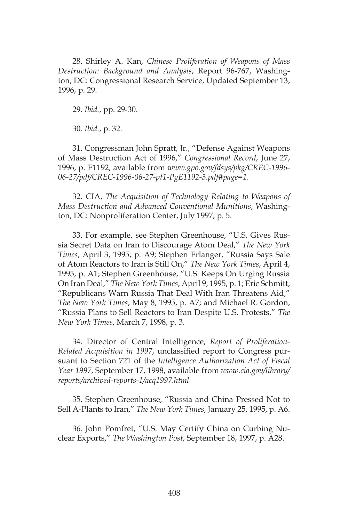28. Shirley A. Kan, *Chinese Proliferation of Weapons of Mass Destruction: Background and Analysis*, Report 96-767, Washington, DC: Congressional Research Service, Updated September 13, 1996, p. 29.

29. *Ibid.*, pp. 29-30.

30. *Ibid.*, p. 32.

31. Congressman John Spratt, Jr., "Defense Against Weapons of Mass Destruction Act of 1996," *Congressional Record*, June 27, 1996, p. E1192, available from *www.gpo.gov/fdsys/pkg/CREC-1996- 06-27/pdf/CREC-1996-06-27-pt1-PgE1192-3.pdf#page=1*.

32. CIA, *The Acquisition of Technology Relating to Weapons of Mass Destruction and Advanced Conventional Munitions*, Washington, DC: Nonproliferation Center, July 1997, p. 5.

33. For example, see Stephen Greenhouse, "U.S. Gives Russia Secret Data on Iran to Discourage Atom Deal," *The New York Times*, April 3, 1995, p. A9; Stephen Erlanger, "Russia Says Sale of Atom Reactors to Iran is Still On," *The New York Times*, April 4, 1995, p. A1; Stephen Greenhouse, "U.S. Keeps On Urging Russia On Iran Deal," *The New York Times*, April 9, 1995, p. 1; Eric Schmitt, "Republicans Warn Russia That Deal With Iran Threatens Aid," *The New York Times*, May 8, 1995, p. A7; and Michael R. Gordon, "Russia Plans to Sell Reactors to Iran Despite U.S. Protests," *The New York Times*, March 7, 1998, p. 3.

34. Director of Central Intelligence, *Report of Proliferation-Related Acquisition in 1997*, unclassified report to Congress pursuant to Section 721 of the *Intelligence Authorization Act of Fiscal Year 1997*, September 17, 1998, available from *www.cia.gov/library/ reports/archived-reports-1/acq1997.html*

35. Stephen Greenhouse, "Russia and China Pressed Not to Sell A-Plants to Iran," *The New York Times*, January 25, 1995, p. A6.

36. John Pomfret, "U.S. May Certify China on Curbing Nuclear Exports," *The Washington Post*, September 18, 1997, p. A28.